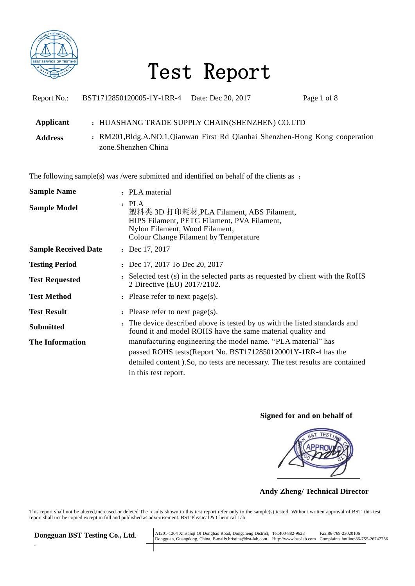

| Report No.:                 | BST1712850120005-1Y-1RR-4 Date: Dec 20, 2017 |                                                                                                                                   | Page 1 of 8 |
|-----------------------------|----------------------------------------------|-----------------------------------------------------------------------------------------------------------------------------------|-------------|
| Applicant<br><b>Address</b> | zone. Shenzhen China                         | : HUASHANG TRADE SUPPLY CHAIN(SHENZHEN) CO.LTD<br>: RM201, Bldg. A.NO. 1, Qianwan First Rd Qianhai Shenzhen-Hong Kong cooperation |             |

The following sample(s) was /were submitted and identified on behalf of the clients as :

| <b>Sample Name</b>          | : PLA material                                                                                                                                                                                                                          |
|-----------------------------|-----------------------------------------------------------------------------------------------------------------------------------------------------------------------------------------------------------------------------------------|
| <b>Sample Model</b>         | PLA<br>$\ddot{\phantom{a}}$<br>塑料类 3D 打印耗材, PLA Filament, ABS Filament,<br>HIPS Filament, PETG Filament, PVA Filament,<br>Nylon Filament, Wood Filament,<br>Colour Change Filament by Temperature                                       |
| <b>Sample Received Date</b> | : Dec $17, 2017$                                                                                                                                                                                                                        |
| <b>Testing Period</b>       | : Dec 17, 2017 To Dec 20, 2017                                                                                                                                                                                                          |
| <b>Test Requested</b>       | . Selected test (s) in the selected parts as requested by client with the RoHS<br>2 Directive (EU) 2017/2102.                                                                                                                           |
| <b>Test Method</b>          | : Please refer to next page(s).                                                                                                                                                                                                         |
| <b>Test Result</b>          | : Please refer to next page(s).                                                                                                                                                                                                         |
| <b>Submitted</b>            | : The device described above is tested by us with the listed standards and<br>found it and model ROHS have the same material quality and                                                                                                |
| <b>The Information</b>      | manufacturing engineering the model name. "PLA material" has<br>passed ROHS tests (Report No. BST1712850120001Y-1RR-4 has the<br>detailed content ). So, no tests are necessary. The test results are contained<br>in this test report. |

### **Signed for and on behalf of**



 **Andy Zheng/ Technical Director**

This report shall not be altered,increased or deleted.The results shown in this test report refer only to the sample(s) tested. Without written approval of BST, this test report shall not be copied except in full and published as advertisement. BST Physical & Chemical Lab.

*.*

 $\textbf{Dongguan BST Testing Co., Ltd.} \begin{tabular}{l} A1201-1204 Xinsanqi Of Dongbao Road, Dongcheng District, Tel:400-882-9628 & Fax:86-769-23020106 \\ Dongguan, Guangdong, China, E-mail:christina@bst-lab.com & Http://www.bst-lab.com & Complaaints hotline:86-755-26747756 \\ \end{tabular}$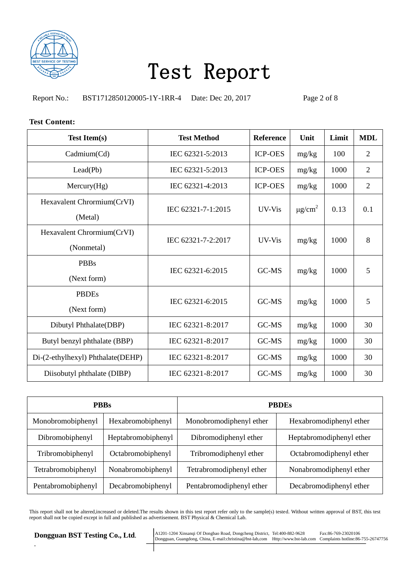

Report No.: BST1712850120005-1Y-1RR-4 Date: Dec 20, 2017 Page 2 of 8

#### **Test Content:**

| <b>Test Item(s)</b>                      | <b>Test Method</b> | <b>Reference</b> | Unit                    | Limit | <b>MDL</b>     |
|------------------------------------------|--------------------|------------------|-------------------------|-------|----------------|
| Cadmium(Cd)                              | IEC 62321-5:2013   | <b>ICP-OES</b>   | mg/kg                   | 100   | $\overline{2}$ |
| Lead(Pb)                                 | IEC 62321-5:2013   | <b>ICP-OES</b>   | mg/kg                   | 1000  | $\overline{2}$ |
| Mercury(Hg)                              | IEC 62321-4:2013   | <b>ICP-OES</b>   | mg/kg                   | 1000  | $\overline{2}$ |
| Hexavalent Chrormium(CrVI)<br>(Metal)    | IEC 62321-7-1:2015 | UV-Vis           | $\mu$ g/cm <sup>2</sup> | 0.13  | 0.1            |
| Hexavalent Chrormium(CrVI)<br>(Nonmetal) | IEC 62321-7-2:2017 | UV-Vis           | mg/kg                   | 1000  | 8              |
| <b>PBBs</b><br>(Next form)               | IEC 62321-6:2015   | GC-MS            | mg/kg                   | 1000  | 5              |
| <b>PBDEs</b><br>(Next form)              | IEC 62321-6:2015   | GC-MS            | mg/kg                   | 1000  | 5              |
| Dibutyl Phthalate(DBP)                   | IEC 62321-8:2017   | GC-MS            | mg/kg                   | 1000  | 30             |
| Butyl benzyl phthalate (BBP)             | IEC 62321-8:2017   | GC-MS            | mg/kg                   | 1000  | 30             |
| Di-(2-ethylhexyl) Phthalate(DEHP)        | IEC 62321-8:2017   | GC-MS            | mg/kg                   | 1000  | 30             |
| Diisobutyl phthalate (DIBP)              | IEC 62321-8:2017   | GC-MS            | mg/kg                   | 1000  | 30             |

| <b>PBBs</b>        |                    | <b>PRDEs</b>             |                          |  |
|--------------------|--------------------|--------------------------|--------------------------|--|
| Monobromobiphenyl  | Hexabromobiphenyl  | Monobromodiphenyl ether  | Hexabromodiphenyl ether  |  |
| Dibromobiphenyl    | Heptabromobiphenyl | Dibromodiphenyl ether    | Heptabromodiphenyl ether |  |
| Tribromobiphenyl   | Octabromobiphenyl  | Tribromodiphenyl ether   | Octabromodiphenyl ether  |  |
| Tetrabromobiphenyl | Nonabromobiphenyl  | Tetrabromodiphenyl ether | Nonabromodiphenyl ether  |  |
| Pentabromobiphenyl | Decabromobiphenyl  | Pentabromodiphenyl ether | Decabromodiphenyl ether  |  |

This report shall not be altered,increased or deleted.The results shown in this test report refer only to the sample(s) tested. Without written approval of BST, this test report shall not be copied except in full and published as advertisement. BST Physical & Chemical Lab.

*.*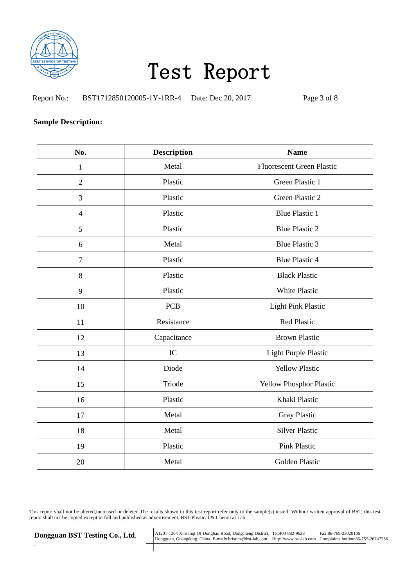

Report No.: BST1712850120005-1Y-1RR-4 Date: Dec 20, 2017 Page 3 of 8

### **Sample Description:**

| No.            | <b>Description</b> | <b>Name</b>                      |
|----------------|--------------------|----------------------------------|
| $\mathbf{1}$   | Metal              | <b>Fluorescent Green Plastic</b> |
| $\overline{2}$ | Plastic            | Green Plastic 1                  |
| 3              | Plastic            | Green Plastic 2                  |
| $\overline{4}$ | Plastic            | <b>Blue Plastic 1</b>            |
| 5              | Plastic            | <b>Blue Plastic 2</b>            |
| 6              | Metal              | <b>Blue Plastic 3</b>            |
| $\overline{7}$ | Plastic            | <b>Blue Plastic 4</b>            |
| 8              | Plastic            | <b>Black Plastic</b>             |
| 9              | Plastic            | <b>White Plastic</b>             |
| 10             | <b>PCB</b>         | <b>Light Pink Plastic</b>        |
| 11             | Resistance         | <b>Red Plastic</b>               |
| 12             | Capacitance        | <b>Brown Plastic</b>             |
| 13             | IC                 | Light Purple Plastic             |
| 14             | Diode              | <b>Yellow Plastic</b>            |
| 15             | Triode             | Yellow Phosphor Plastic          |
| 16             | Plastic            | Khaki Plastic                    |
| 17             | Metal              | Gray Plastic                     |
| 18             | Metal              | <b>Silver Plastic</b>            |
| 19             | Plastic            | <b>Pink Plastic</b>              |
| 20             | Metal              | Golden Plastic                   |

This report shall not be altered,increased or deleted.The results shown in this test report refer only to the sample(s) tested. Without written approval of BST, this test report shall not be copied except in full and published as advertisement. BST Physical & Chemical Lab.

*.*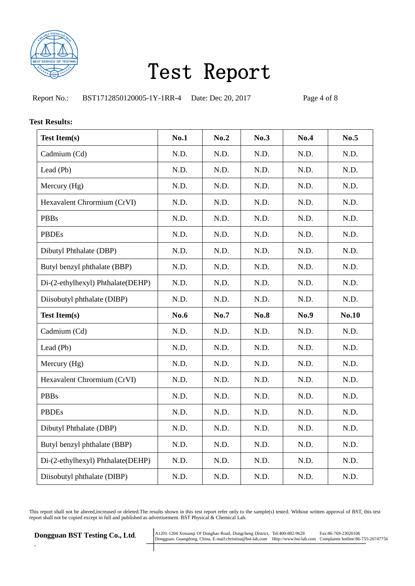

Report No.: BST1712850120005-1Y-1RR-4 Date: Dec 20, 2017 Page 4 of 8

#### **Test Results:**

| <b>Test Item(s)</b>               | <b>No.1</b> | No.2 | No.3        | No.4 | No.5         |
|-----------------------------------|-------------|------|-------------|------|--------------|
| Cadmium (Cd)                      | N.D.        | N.D. | N.D.        | N.D. | N.D.         |
| Lead (Pb)                         | N.D.        | N.D. | N.D.        | N.D. | N.D.         |
| Mercury (Hg)                      | N.D.        | N.D. | N.D.        | N.D. | N.D.         |
| Hexavalent Chrormium (CrVI)       | N.D.        | N.D. | N.D.        | N.D. | N.D.         |
| <b>PBBs</b>                       | N.D.        | N.D. | N.D.        | N.D. | N.D.         |
| <b>PBDEs</b>                      | N.D.        | N.D. | N.D.        | N.D. | N.D.         |
| Dibutyl Phthalate (DBP)           | N.D.        | N.D. | N.D.        | N.D. | N.D.         |
| Butyl benzyl phthalate (BBP)      | N.D.        | N.D. | N.D.        | N.D. | N.D.         |
| Di-(2-ethylhexyl) Phthalate(DEHP) | N.D.        | N.D. | N.D.        | N.D. | N.D.         |
| Diisobutyl phthalate (DIBP)       | N.D.        | N.D. | N.D.        | N.D. | N.D.         |
| <b>Test Item(s)</b>               | No.6        | No.7 | <b>No.8</b> | No.9 | <b>No.10</b> |
| Cadmium (Cd)                      | N.D.        | N.D. | N.D.        | N.D. | N.D.         |
|                                   |             |      |             |      |              |
| Lead (Pb)                         | N.D.        | N.D. | N.D.        | N.D. | N.D.         |
| Mercury (Hg)                      | N.D.        | N.D. | N.D.        | N.D. | N.D.         |
| Hexavalent Chrormium (CrVI)       | N.D.        | N.D. | N.D.        | N.D. | N.D.         |
| <b>PBBs</b>                       | N.D.        | N.D. | N.D.        | N.D. | N.D.         |
| <b>PBDEs</b>                      | N.D.        | N.D. | N.D.        | N.D. | N.D.         |
| Dibutyl Phthalate (DBP)           | N.D.        | N.D. | N.D.        | N.D. | N.D.         |
| Butyl benzyl phthalate (BBP)      | N.D.        | N.D. | N.D.        | N.D. | N.D.         |
| Di-(2-ethylhexyl) Phthalate(DEHP) | N.D.        | N.D. | N.D.        | N.D. | N.D.         |

This report shall not be altered,increased or deleted.The results shown in this test report refer only to the sample(s) tested. Without written approval of BST, this test report shall not be copied except in full and published as advertisement. BST Physical & Chemical Lab.

*.*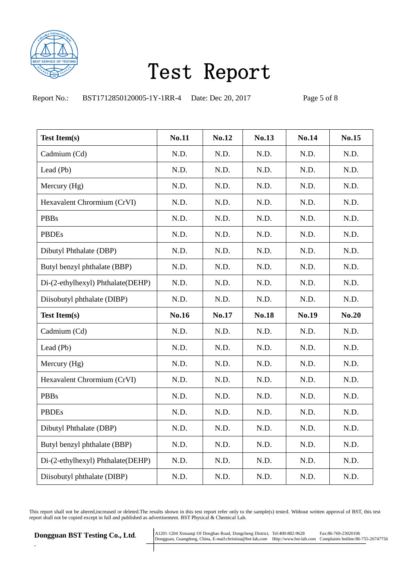

Report No.: BST1712850120005-1Y-1RR-4 Date: Dec 20, 2017 Page 5 of 8

| <b>Test Item(s)</b>               | <b>No.11</b> | No.12 | No.13        | <b>No.14</b> | No.15        |
|-----------------------------------|--------------|-------|--------------|--------------|--------------|
| Cadmium (Cd)                      | N.D.         | N.D.  | N.D.         | N.D.         | N.D.         |
| Lead (Pb)                         | N.D.         | N.D.  | N.D.         | N.D.         | N.D.         |
| Mercury (Hg)                      | N.D.         | N.D.  | N.D.         | N.D.         | N.D.         |
| Hexavalent Chrormium (CrVI)       | N.D.         | N.D.  | N.D.         | N.D.         | N.D.         |
| <b>PBBs</b>                       | N.D.         | N.D.  | N.D.         | N.D.         | N.D.         |
| <b>PBDEs</b>                      | N.D.         | N.D.  | N.D.         | N.D.         | N.D.         |
| Dibutyl Phthalate (DBP)           | N.D.         | N.D.  | N.D.         | N.D.         | N.D.         |
| Butyl benzyl phthalate (BBP)      | N.D.         | N.D.  | N.D.         | N.D.         | N.D.         |
| Di-(2-ethylhexyl) Phthalate(DEHP) | N.D.         | N.D.  | N.D.         | N.D.         | N.D.         |
| Diisobutyl phthalate (DIBP)       | N.D.         | N.D.  | N.D.         | N.D.         | N.D.         |
|                                   |              |       |              |              |              |
| <b>Test Item(s)</b>               | <b>No.16</b> | No.17 | <b>No.18</b> | No.19        | <b>No.20</b> |
| Cadmium (Cd)                      | N.D.         | N.D.  | N.D.         | N.D.         | N.D.         |
| Lead (Pb)                         | N.D.         | N.D.  | N.D.         | N.D.         | N.D.         |
| Mercury (Hg)                      | N.D.         | N.D.  | N.D.         | N.D.         | N.D.         |
| Hexavalent Chrormium (CrVI)       | N.D.         | N.D.  | N.D.         | N.D.         | N.D.         |
| <b>PBBs</b>                       | N.D.         | N.D.  | N.D.         | N.D.         | N.D.         |
| <b>PBDEs</b>                      | N.D.         | N.D.  | N.D.         | N.D.         | N.D.         |
| Dibutyl Phthalate (DBP)           | N.D.         | N.D.  | N.D.         | N.D.         | N.D.         |
| Butyl benzyl phthalate (BBP)      | N.D.         | N.D.  | N.D.         | N.D.         | N.D.         |
| Di-(2-ethylhexyl) Phthalate(DEHP) | N.D.         | N.D.  | N.D.         | N.D.         | N.D.         |

This report shall not be altered,increased or deleted.The results shown in this test report refer only to the sample(s) tested. Without written approval of BST, this test report shall not be copied except in full and published as advertisement. BST Physical & Chemical Lab.

*.*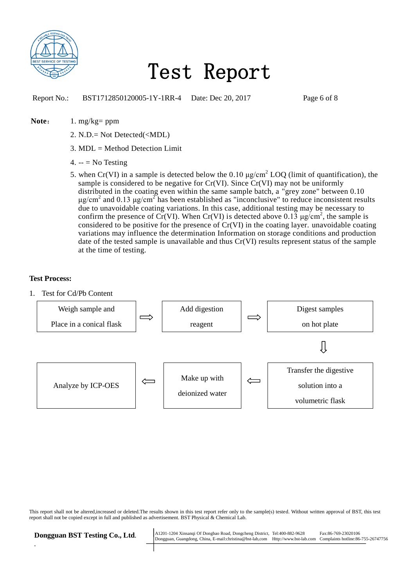

Report No.: BST1712850120005-1Y-1RR-4 Date: Dec 20, 2017 Page 6 of 8

#### Note: 1. mg/kg= ppm

- 2. N.D.= Not Detected(<MDL)
- 3. MDL = Method Detection Limit
- 4.  $-$  = No Testing
- 5. when Cr(VI) in a sample is detected below the  $0.10 \mu g/cm^2$  LOQ (limit of quantification), the sample is considered to be negative for Cr(VI). Since Cr(VI) may not be uniformly distributed in the coating even within the same sample batch, a "grey zone" between 0.10 μg/cm<sup>2</sup> and 0.13 μg/cm<sup>2</sup> has been established as "inconclusive" to reduce inconsistent results due to unavoidable coating variations. In this case, additional testing may be necessary to confirm the presence of Cr(VI). When Cr(VI) is detected above 0.13  $\mu$ g/cm<sup>2</sup>, the sample is considered to be positive for the presence of Cr(VI) in the coating layer. unavoidable coating variations may influence the determination Information on storage conditions and production date of the tested sample is unavailable and thus Cr(VI) results represent status of the sample at the time of testing.

#### **Test Process:**

1. Test for Cd/Pb Content



This report shall not be altered,increased or deleted.The results shown in this test report refer only to the sample(s) tested. Without written approval of BST, this test report shall not be copied except in full and published as advertisement. BST Physical & Chemical Lab.

*.*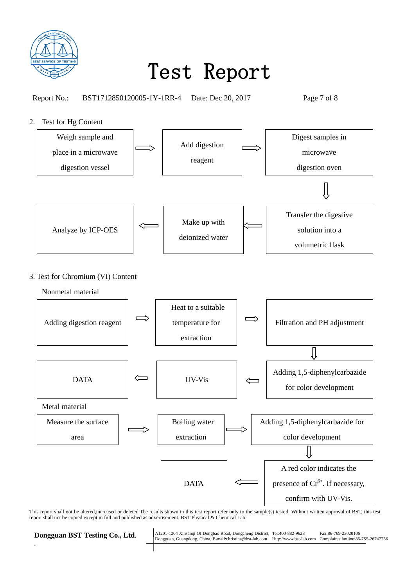

Report No.: BST1712850120005-1Y-1RR-4 Date: Dec 20, 2017 Page 7 of 8

### 2. Test for Hg Content



### 3. Test for Chromium (VI) Content

Nonmetal material



This report shall not be altered,increased or deleted.The results shown in this test report refer only to the sample(s) tested. Without written approval of BST, this test report shall not be copied except in full and published as advertisement. BST Physical & Chemical Lab.

*.*